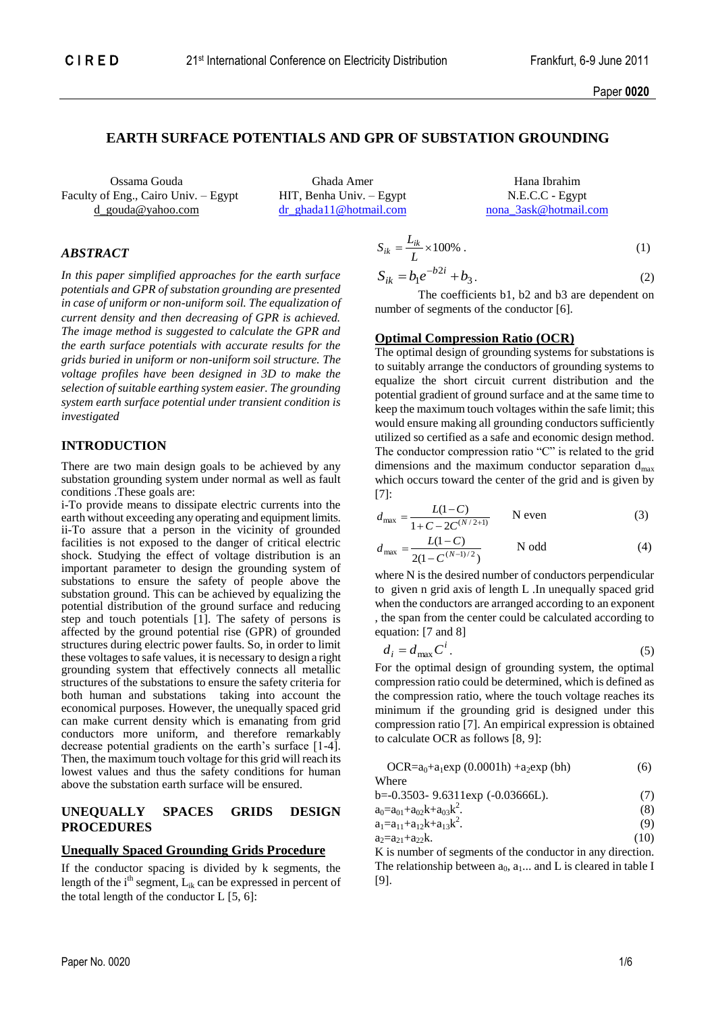# **EARTH SURFACE POTENTIALS AND GPR OF SUBSTATION GROUNDING**

Ossama Gouda Ghada Amer Hana Ibrahim Faculty of Eng., Cairo Univ. – Egypt HIT, Benha Univ. – Egypt N.E.C.C - Egypt d\_gouda@yahoo.com [dr\\_ghada11@hotmail.com](mailto:dr_ghada11@hotmail.com) [nona\\_3ask@hotmail.com](mailto:nona_3ask@hotmail.com)

## *ABSTRACT*

*In this paper simplified approaches for the earth surface potentials and GPR of substation grounding are presented in case of uniform or non-uniform soil. The equalization of current density and then decreasing of GPR is achieved. The image method is suggested to calculate the GPR and the earth surface potentials with accurate results for the grids buried in uniform or non-uniform soil structure. The voltage profiles have been designed in 3D to make the selection of suitable earthing system easier. The grounding system earth surface potential under transient condition is investigated*

### **INTRODUCTION**

There are two main design goals to be achieved by any substation grounding system under normal as well as fault conditions .These goals are:

i-To provide means to dissipate electric currents into the earth without exceeding any operating and equipment limits. ii-To assure that a person in the vicinity of grounded facilities is not exposed to the danger of critical electric shock. Studying the effect of voltage distribution is an important parameter to design the grounding system of substations to ensure the safety of people above the substation ground. This can be achieved by equalizing the potential distribution of the ground surface and reducing step and touch potentials [1]. The safety of persons is affected by the ground potential rise (GPR) of grounded structures during electric power faults. So, in order to limit these voltages to safe values, it is necessary to design a right grounding system that effectively connects all metallic structures of the substations to ensure the safety criteria for both human and substations taking into account the economical purposes. However, the unequally spaced grid can make current density which is emanating from grid conductors more uniform, and therefore remarkably decrease potential gradients on the earth's surface [1-4]. Then, the maximum touch voltage for this grid will reach its lowest values and thus the safety conditions for human above the substation earth surface will be ensured.

### **UNEQUALLY SPACES GRIDS DESIGN PROCEDURES**

### **Unequally Spaced Grounding Grids Procedure**

If the conductor spacing is divided by k segments, the length of the  $i<sup>th</sup>$  segment,  $L_{ik}$  can be expressed in percent of the total length of the conductor  $L [5, 6]$ :

$$
S_{ik} = \frac{L_{ik}}{L} \times 100\% \tag{1}
$$

$$
S_{ik} = b_1 e^{-b2i} + b_3.
$$
 (2)

The coefficients b1, b2 and b3 are dependent on number of segments of the conductor [6].

#### **Optimal Compression Ratio (OCR)**

The optimal design of grounding systems for substations is to suitably arrange the conductors of grounding systems to equalize the short circuit current distribution and the potential gradient of ground surface and at the same time to keep the maximum touch voltages within the safe limit; this would ensure making all grounding conductors sufficiently utilized so certified as a safe and economic design method. The conductor compression ratio "C" is related to the grid dimensions and the maximum conductor separation  $d_{\text{max}}$ which occurs toward the center of the grid and is given by [7]:

$$
d_{\max} = \frac{L(1-C)}{1+C-2C^{(N/2+1)}} \qquad \text{N even} \tag{3}
$$

$$
d_{\max} = \frac{L(1 - C)}{2(1 - C^{(N-1)/2})}
$$
 N odd (4)

where N is the desired number of conductors perpendicular to given n grid axis of length L .In unequally spaced grid when the conductors are arranged according to an exponent , the span from the center could be calculated according to equation: [7 and 8]

$$
d_i = d_{\text{max}} C^i. \tag{5}
$$

For the optimal design of grounding system, the optimal compression ratio could be determined, which is defined as the compression ratio, where the touch voltage reaches its minimum if the grounding grid is designed under this compression ratio [7]. An empirical expression is obtained to calculate OCR as follows [8, 9]:

$$
OCR = a0+a1 exp (0.0001h) + a2 exp (bh)
$$
 (6)  
Where

b=-0.3503- 9.6311exp (-0.03666L). (7) 2

$$
a_0 = a_{01} + a_{02}k + a_{03}k^2.
$$
\n(8)

$$
a_1 = a_{11} + a_{12}k + a_{13}k^2.
$$
  
\n
$$
a_2 = a_{21} + a_{22}k.
$$
  
\n(10)

K is number of segments of the conductor in any direction. The relationship between  $a_0$ ,  $a_1$ ... and L is cleared in table I [9].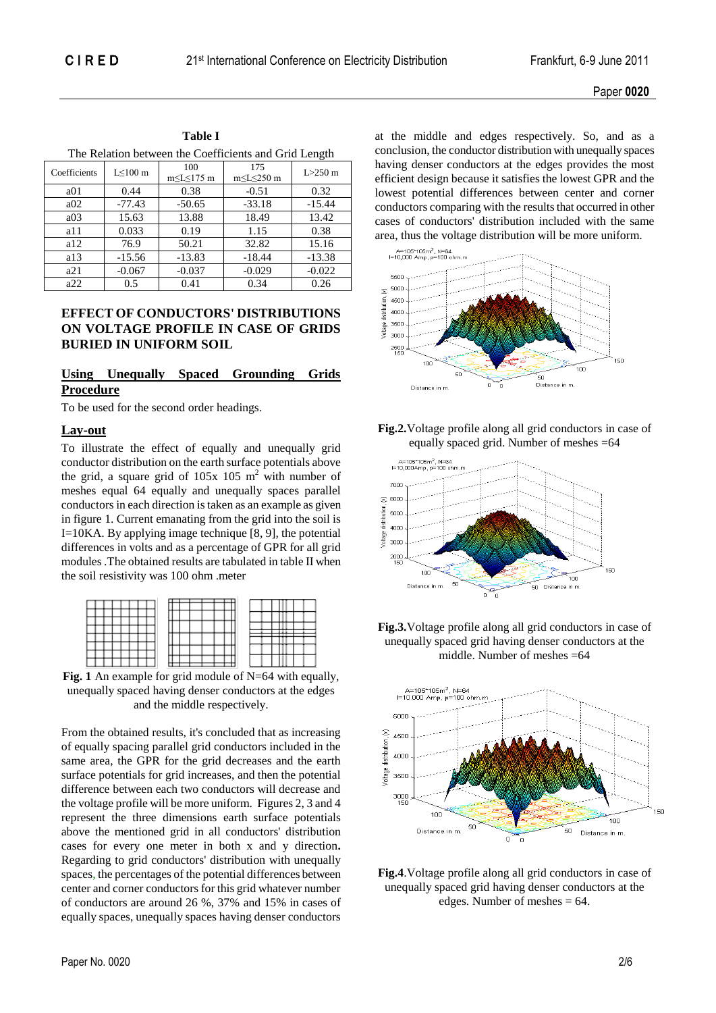| The Relation between the Coefficients and Grid Length |                |                            |             |          |  |  |  |  |  |
|-------------------------------------------------------|----------------|----------------------------|-------------|----------|--|--|--|--|--|
| Coefficients                                          | $L \leq 100$ m | 100<br>$m \le L \le 175$ m | $L > 250$ m |          |  |  |  |  |  |
| a01                                                   | 0.44           | 0.38                       | $-0.51$     | 0.32     |  |  |  |  |  |
| a02                                                   | $-77.43$       | $-50.65$                   | $-33.18$    | $-15.44$ |  |  |  |  |  |
| a03                                                   | 15.63          | 13.88                      | 18.49       | 13.42    |  |  |  |  |  |
| a11                                                   | 0.033          | 0.19                       | 1.15        | 0.38     |  |  |  |  |  |
| a12                                                   | 76.9           | 50.21                      | 32.82       | 15.16    |  |  |  |  |  |
| a13                                                   | $-15.56$       | $-13.83$                   | $-18.44$    | $-13.38$ |  |  |  |  |  |
| a21                                                   | $-0.067$       | $-0.037$                   | $-0.029$    | $-0.022$ |  |  |  |  |  |
| a22                                                   | 0.5            | 0.41                       | 0.34        | 0.26     |  |  |  |  |  |

**Table I**

## **EFFECT OF CONDUCTORS' DISTRIBUTIONS ON VOLTAGE PROFILE IN CASE OF GRIDS BURIED IN UNIFORM SOIL**

# **Using Unequally Spaced Grounding Grids Procedure**

To be used for the second order headings.

#### **Lay-out**

To illustrate the effect of equally and unequally grid conductor distribution on the earth surface potentials above the grid, a square grid of  $105x$  105 m<sup>2</sup> with number of meshes equal 64 equally and unequally spaces parallel conductors in each direction is taken as an example as given in figure 1. Current emanating from the grid into the soil is I=10KA. By applying image technique [8, 9], the potential differences in volts and as a percentage of GPR for all grid modules .The obtained results are tabulated in table II when the soil resistivity was 100 ohm .meter

**Fig. 1** An example for grid module of N=64 with equally, unequally spaced having denser conductors at the edges and the middle respectively.

From the obtained results, it's concluded that as increasing of equally spacing parallel grid conductors included in the same area, the GPR for the grid decreases and the earth surface potentials for grid increases, and then the potential difference between each two conductors will decrease and the voltage profile will be more uniform. Figures 2, 3 and 4 represent the three dimensions earth surface potentials above the mentioned grid in all conductors' distribution cases for every one meter in both x and y direction**.**  Regarding to grid conductors' distribution with unequally spaces, the percentages of the potential differences between center and corner conductors for this grid whatever number of conductors are around 26 %, 37% and 15% in cases of equally spaces, unequally spaces having denser conductors

at the middle and edges respectively. So, and as a conclusion, the conductor distribution with unequally spaces having denser conductors at the edges provides the most efficient design because it satisfies the lowest GPR and the lowest potential differences between center and corner conductors comparing with the results that occurred in other cases of conductors' distribution included with the same area, thus the voltage distribution will be more uniform.



**Fig.2.**Voltage profile along all grid conductors in case of equally spaced grid. Number of meshes =64







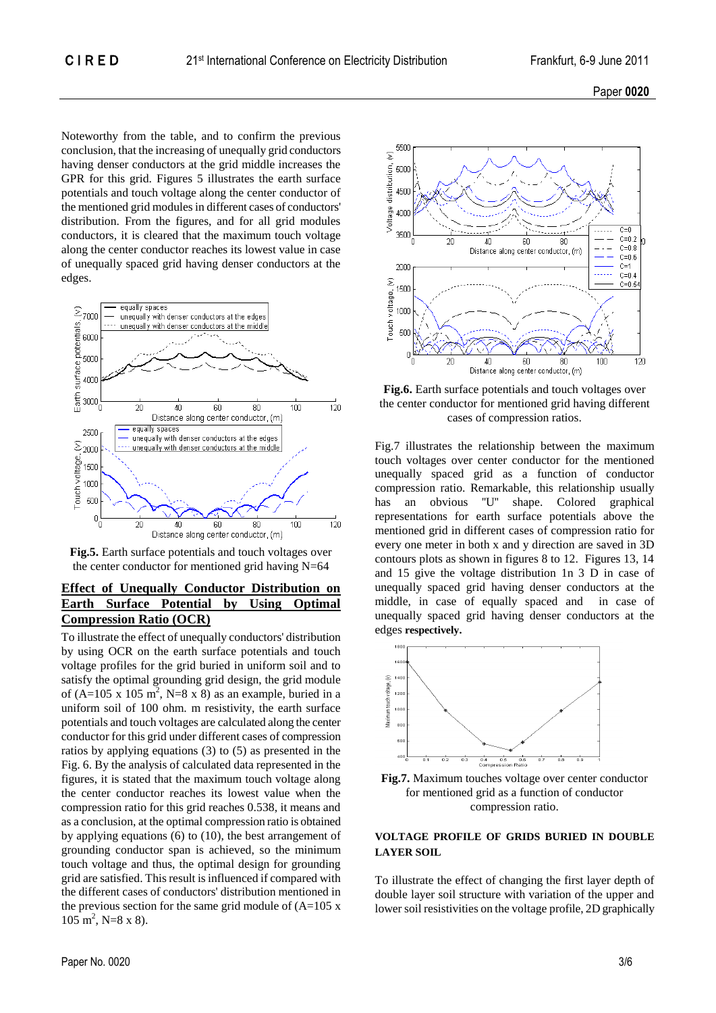

Noteworthy from the table, and to confirm the previous conclusion, that the increasing of unequally grid conductors having denser conductors at the grid middle increases the GPR for this grid. Figures 5 illustrates the earth surface potentials and touch voltage along the center conductor of the mentioned grid modules in different cases of conductors' distribution. From the figures, and for all grid modules conductors, it is cleared that the maximum touch voltage along the center conductor reaches its lowest value in case of unequally spaced grid having denser conductors at the edges.





# **Effect of Unequally Conductor Distribution on Earth Surface Potential by Using Optimal Compression Ratio (OCR)**

To illustrate the effect of unequally conductors' distribution by using OCR on the earth surface potentials and touch voltage profiles for the grid buried in uniform soil and to satisfy the optimal grounding grid design, the grid module of  $(A=105 \times 105 \text{ m}^2$ , N=8 x 8) as an example, buried in a uniform soil of 100 ohm. m resistivity, the earth surface potentials and touch voltages are calculated along the center conductor for this grid under different cases of compression ratios by applying equations (3) to (5) as presented in the Fig. 6. By the analysis of calculated data represented in the figures, it is stated that the maximum touch voltage along the center conductor reaches its lowest value when the compression ratio for this grid reaches 0.538, it means and as a conclusion, at the optimal compression ratio is obtained by applying equations (6) to (10), the best arrangement of grounding conductor span is achieved, so the minimum touch voltage and thus, the optimal design for grounding grid are satisfied. This result is influenced if compared with the different cases of conductors' distribution mentioned in the previous section for the same grid module of  $(A=105 x)$  $105 \text{ m}^2$ , N=8 x 8).



**Fig.6.** Earth surface potentials and touch voltages over the center conductor for mentioned grid having different cases of compression ratios.

Fig.7 illustrates the relationship between the maximum touch voltages over center conductor for the mentioned unequally spaced grid as a function of conductor compression ratio. Remarkable, this relationship usually has an obvious ''U'' shape. Colored graphical representations for earth surface potentials above the mentioned grid in different cases of compression ratio for every one meter in both x and y direction are saved in 3D contours plots as shown in figures 8 to 12. Figures 13, 14 and 15 give the voltage distribution 1n 3 D in case of unequally spaced grid having denser conductors at the middle, in case of equally spaced and in case of unequally spaced grid having denser conductors at the edges **respectively.**





#### **VOLTAGE PROFILE OF GRIDS BURIED IN DOUBLE LAYER SOIL**

To illustrate the effect of changing the first layer depth of double layer soil structure with variation of the upper and lower soil resistivities on the voltage profile, 2D graphically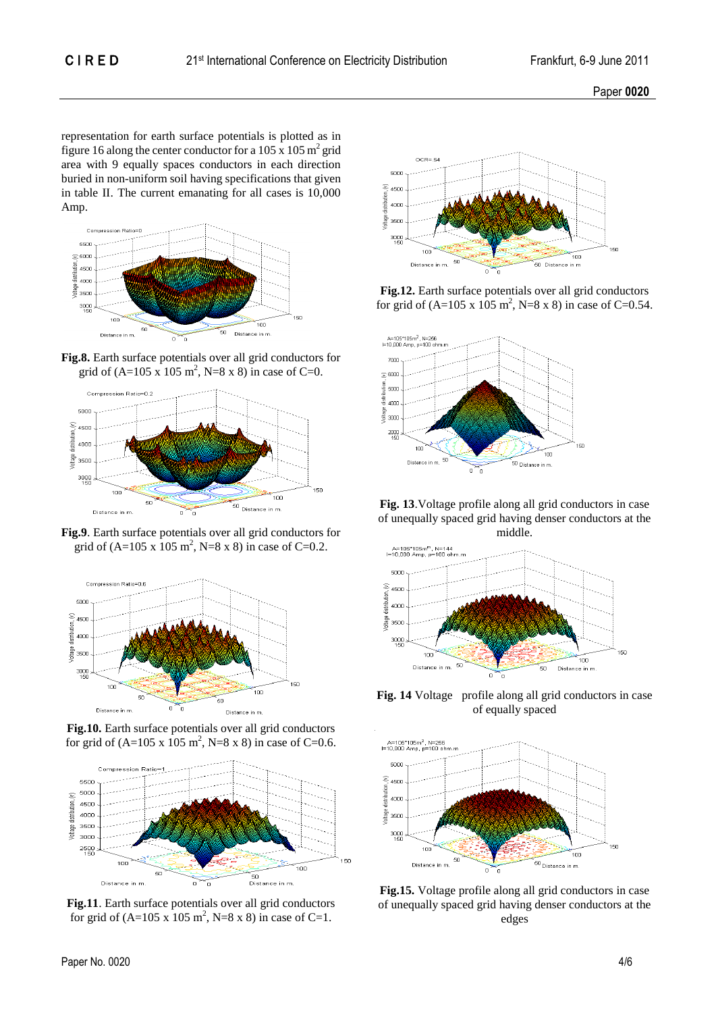Paper **0020**

representation for earth surface potentials is plotted as in figure 16 along the center conductor for a 105 x 105  $\text{m}^2$  grid area with 9 equally spaces conductors in each direction buried in non-uniform soil having specifications that given in table II. The current emanating for all cases is 10,000 Amp.



**Fig.8.** Earth surface potentials over all grid conductors for grid of  $(A=105 \text{ x } 105 \text{ m}^2, \text{N}=8 \text{ x } 8)$  in case of C=0.



**Fig.9**. Earth surface potentials over all grid conductors for grid of  $(A=105 \text{ x } 105 \text{ m}^2, \text{N}=8 \text{ x } 8)$  in case of C=0.2.



**Fig.10.** Earth surface potentials over all grid conductors for grid of  $(A=105 \times 105 \text{ m}^2, N=8 \times 8)$  in case of C=0.6.



**Fig.11**. Earth surface potentials over all grid conductors for grid of  $(A=105 \times 105 \text{ m}^2, N=8 \times 8)$  in case of C=1.



**Fig.12.** Earth surface potentials over all grid conductors for grid of  $(A=105 \text{ x } 105 \text{ m}^2, \text{N}=8 \text{ x } 8)$  in case of C=0.54.



**Fig. 13**.Voltage profile along all grid conductors in case of unequally spaced grid having denser conductors at the middle.



**Fig. 14** Voltage profile along all grid conductors in case of equally spaced



**Fig.15.** Voltage profile along all grid conductors in case of unequally spaced grid having denser conductors at the edges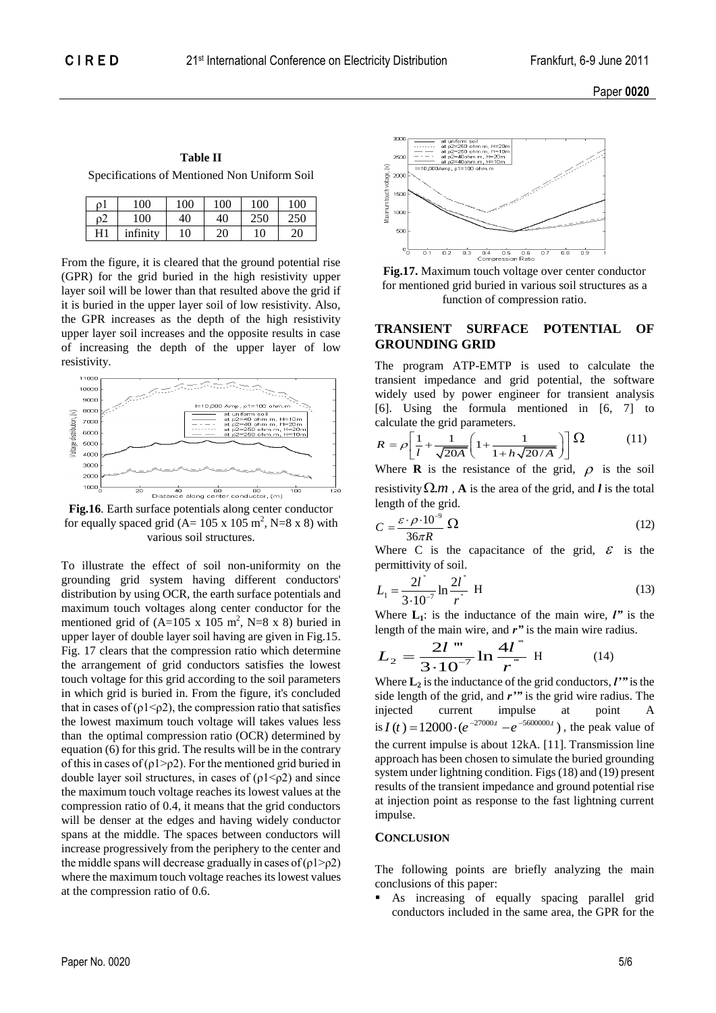Paper **0020**

**Table II**

Specifications of Mentioned Non Uniform Soil

| οl | 00       | 100 | 100 | 100 | 100 |
|----|----------|-----|-----|-----|-----|
| ο2 | 100      | 40  | 40  |     |     |
| H1 | infinity | 10  | 20  | 10  | 20  |

From the figure, it is cleared that the ground potential rise (GPR) for the grid buried in the high resistivity upper layer soil will be lower than that resulted above the grid if it is buried in the upper layer soil of low resistivity. Also, the GPR increases as the depth of the high resistivity upper layer soil increases and the opposite results in case of increasing the depth of the upper layer of low resistivity.



**Fig.16**. Earth surface potentials along center conductor for equally spaced grid  $(A=105 \times 105 \text{ m}^2, N=8 \times 8)$  with various soil structures.

To illustrate the effect of soil non-uniformity on the grounding grid system having different conductors' distribution by using OCR, the earth surface potentials and maximum touch voltages along center conductor for the mentioned grid of  $(A=105 \times 105 \text{ m}^2, \text{N}=8 \times 8)$  buried in upper layer of double layer soil having are given in Fig.15. Fig. 17 clears that the compression ratio which determine the arrangement of grid conductors satisfies the lowest touch voltage for this grid according to the soil parameters in which grid is buried in. From the figure, it's concluded that in cases of  $(\rho 1 \le \rho 2)$ , the compression ratio that satisfies the lowest maximum touch voltage will takes values less than the optimal compression ratio (OCR) determined by equation (6) for this grid. The results will be in the contrary of this in cases of ( $\rho$ 1> $\rho$ 2). For the mentioned grid buried in double layer soil structures, in cases of  $(\rho 1 \le \rho 2)$  and since the maximum touch voltage reaches its lowest values at the compression ratio of 0.4, it means that the grid conductors will be denser at the edges and having widely conductor spans at the middle. The spaces between conductors will increase progressively from the periphery to the center and the middle spans will decrease gradually in cases of  $(\rho 1 > \rho 2)$ where the maximum touch voltage reaches its lowest values at the compression ratio of 0.6.





## **TRANSIENT SURFACE POTENTIAL OF GROUNDING GRID**

The program ATP-EMTP is used to calculate the transient impedance and grid potential, the software widely used by power engineer for transient analysis [6]. Using the formula mentioned in [6, 7] to

calculate the grid parameters.  
\n
$$
R = \rho \left[ \frac{1}{l} + \frac{1}{\sqrt{20A}} \left( 1 + \frac{1}{1 + h\sqrt{20/A}} \right) \right] \Omega
$$
\n(11)

Where **R** is the resistance of the grid,  $\rho$  is the soil resistivity  $\Omega$ *m*, **A** is the area of the grid, and *l* is the total length of the grid.

$$
C = \frac{\varepsilon \cdot \rho \cdot 10^{-9}}{36\pi R} \Omega \tag{12}
$$

Where C is the capacitance of the grid,  $\mathcal{E}$  is the permittivity of soil.

$$
L_1 = \frac{2l^{\dagger}}{3 \cdot 10^{-7}} \ln \frac{2l^{\dagger}}{r^{\dagger}} \text{ H}
$$
 (13)

Where  $\mathbf{L}_1$ : is the inductance of the main wire,  $\mathbf{l}''$  is the

length of the main wire, and 
$$
r''
$$
 is the main wire radius.  
\n
$$
L_2 = \frac{2l \text{'''}}{3 \cdot 10^{-7}} \ln \frac{4l \text{''}}{r \text{''}} H \qquad (14)
$$

Where  $\mathbf{L}_2$  is the inductance of the grid conductors,  $\mathbf{l'}$  is the side length of the grid, and *r'"* is the grid wire radius. The injected current impulse at point A injected current impulse at point A<br>
is  $I(t) = 12000 \cdot (e^{-27000t} - e^{-5600000t})$ , the peak value of the current impulse is about 12kA. [11]. Transmission line approach has been chosen to simulate the buried grounding system under lightning condition. Figs(18) and (19) present results of the transient impedance and ground potential rise at injection point as response to the fast lightning current impulse.

#### **CONCLUSION**

The following points are briefly analyzing the main conclusions of this paper:

 As increasing of equally spacing parallel grid conductors included in the same area, the GPR for the